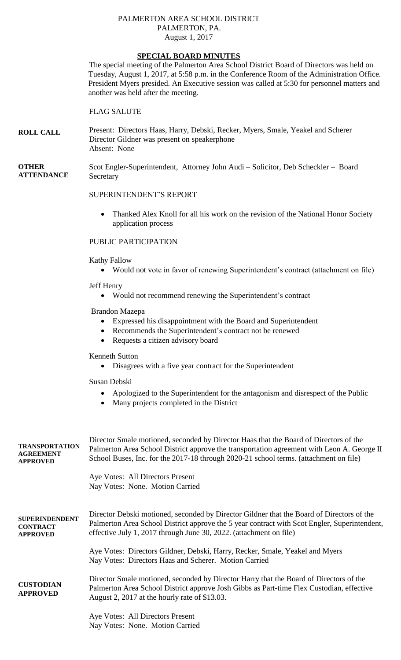#### PALMERTON AREA SCHOOL DISTRICT PALMERTON, PA. August 1, 2017

# **SPECIAL BOARD MINUTES**

The special meeting of the Palmerton Area School District Board of Directors was held on Tuesday, August 1, 2017, at 5:58 p.m. in the Conference Room of the Administration Office. President Myers presided. An Executive session was called at 5:30 for personnel matters and another was held after the meeting.

## FLAG SALUTE

**ROLL CALL** Present: Directors Haas, Harry, Debski, Recker, Myers, Smale, Yeakel and Scherer Director Gildner was present on speakerphone Absent: None

#### **OTHER ATTENDANCE** Scot Engler-Superintendent, Attorney John Audi – Solicitor, Deb Scheckler – Board **Secretary**

### SUPERINTENDENT'S REPORT

• Thanked Alex Knoll for all his work on the revision of the National Honor Society application process

### PUBLIC PARTICIPATION

Kathy Fallow

Would not vote in favor of renewing Superintendent's contract (attachment on file)

Jeff Henry

Would not recommend renewing the Superintendent's contract

#### Brandon Mazepa

- Expressed his disappointment with the Board and Superintendent
- Recommends the Superintendent's contract not be renewed
- Requests a citizen advisory board

Kenneth Sutton

Disagrees with a five year contract for the Superintendent

Susan Debski

- Apologized to the Superintendent for the antagonism and disrespect of the Public
- Many projects completed in the District

| <b>TRANSPORTATION</b><br><b>AGREEMENT</b><br><b>APPROVED</b> | Director Smale motioned, seconded by Director Haas that the Board of Directors of the<br>Palmerton Area School District approve the transportation agreement with Leon A. George II<br>School Buses, Inc. for the 2017-18 through 2020-21 school terms. (attachment on file) |  |  |
|--------------------------------------------------------------|------------------------------------------------------------------------------------------------------------------------------------------------------------------------------------------------------------------------------------------------------------------------------|--|--|
|                                                              | Aye Votes: All Directors Present<br>Nay Votes: None. Motion Carried                                                                                                                                                                                                          |  |  |
| <b>SUPERINDENDENT</b><br><b>CONTRACT</b><br><b>APPROVED</b>  | Director Debski motioned, seconded by Director Gildner that the Board of Directors of the<br>Palmerton Area School District approve the 5 year contract with Scot Engler, Superintendent,<br>effective July 1, 2017 through June 30, 2022. (attachment on file)              |  |  |
|                                                              | Aye Votes: Directors Gildner, Debski, Harry, Recker, Smale, Yeakel and Myers<br>Nay Votes: Directors Haas and Scherer. Motion Carried                                                                                                                                        |  |  |
| <b>CUSTODIAN</b><br><b>APPROVED</b>                          | Director Smale motioned, seconded by Director Harry that the Board of Directors of the<br>Palmerton Area School District approve Josh Gibbs as Part-time Flex Custodian, effective<br>August 2, 2017 at the hourly rate of \$13.03.                                          |  |  |
|                                                              | Aye Votes: All Directors Present<br>Nay Votes: None. Motion Carried                                                                                                                                                                                                          |  |  |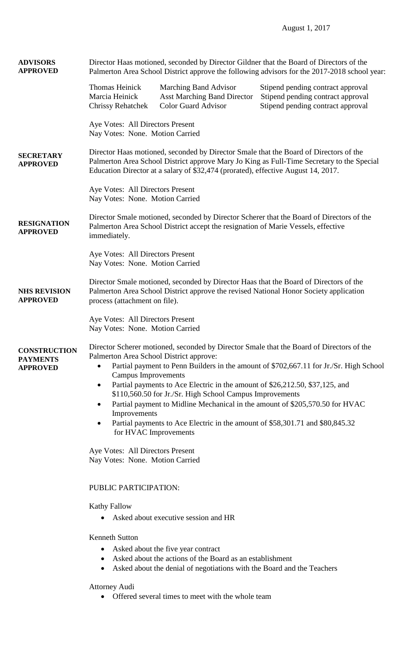| <b>ADVISORS</b><br><b>APPROVED</b>                        | Director Haas motioned, seconded by Director Gildner that the Board of Directors of the<br>Palmerton Area School District approve the following advisors for the 2017-2018 school year:                                                                                                                                                                                                                                                                                                                                                                                                                                                                  |                                                                                                                                                                          |                                                                                                             |  |
|-----------------------------------------------------------|----------------------------------------------------------------------------------------------------------------------------------------------------------------------------------------------------------------------------------------------------------------------------------------------------------------------------------------------------------------------------------------------------------------------------------------------------------------------------------------------------------------------------------------------------------------------------------------------------------------------------------------------------------|--------------------------------------------------------------------------------------------------------------------------------------------------------------------------|-------------------------------------------------------------------------------------------------------------|--|
|                                                           | Thomas Heinick<br>Marcia Heinick<br><b>Chrissy Rehatchek</b>                                                                                                                                                                                                                                                                                                                                                                                                                                                                                                                                                                                             | Marching Band Advisor<br><b>Asst Marching Band Director</b><br>Color Guard Advisor                                                                                       | Stipend pending contract approval<br>Stipend pending contract approval<br>Stipend pending contract approval |  |
|                                                           | Aye Votes: All Directors Present<br>Nay Votes: None. Motion Carried                                                                                                                                                                                                                                                                                                                                                                                                                                                                                                                                                                                      |                                                                                                                                                                          |                                                                                                             |  |
| <b>SECRETARY</b><br><b>APPROVED</b>                       | Director Haas motioned, seconded by Director Smale that the Board of Directors of the<br>Palmerton Area School District approve Mary Jo King as Full-Time Secretary to the Special<br>Education Director at a salary of \$32,474 (prorated), effective August 14, 2017.<br>Aye Votes: All Directors Present<br>Nay Votes: None. Motion Carried                                                                                                                                                                                                                                                                                                           |                                                                                                                                                                          |                                                                                                             |  |
|                                                           |                                                                                                                                                                                                                                                                                                                                                                                                                                                                                                                                                                                                                                                          |                                                                                                                                                                          |                                                                                                             |  |
| <b>RESIGNATION</b><br><b>APPROVED</b>                     | Director Smale motioned, seconded by Director Scherer that the Board of Directors of the<br>Palmerton Area School District accept the resignation of Marie Vessels, effective<br>immediately.<br>Aye Votes: All Directors Present<br>Nay Votes: None. Motion Carried                                                                                                                                                                                                                                                                                                                                                                                     |                                                                                                                                                                          |                                                                                                             |  |
|                                                           |                                                                                                                                                                                                                                                                                                                                                                                                                                                                                                                                                                                                                                                          |                                                                                                                                                                          |                                                                                                             |  |
| <b>NHS REVISION</b><br><b>APPROVED</b>                    | Director Smale motioned, seconded by Director Haas that the Board of Directors of the<br>Palmerton Area School District approve the revised National Honor Society application<br>process (attachment on file).<br>Aye Votes: All Directors Present<br>Nay Votes: None. Motion Carried                                                                                                                                                                                                                                                                                                                                                                   |                                                                                                                                                                          |                                                                                                             |  |
|                                                           |                                                                                                                                                                                                                                                                                                                                                                                                                                                                                                                                                                                                                                                          |                                                                                                                                                                          |                                                                                                             |  |
| <b>CONSTRUCTION</b><br><b>PAYMENTS</b><br><b>APPROVED</b> | Director Scherer motioned, seconded by Director Smale that the Board of Directors of the<br>Palmerton Area School District approve:<br>Partial payment to Penn Builders in the amount of \$702,667.11 for Jr./Sr. High School<br><b>Campus Improvements</b><br>Partial payments to Ace Electric in the amount of \$26,212.50, \$37,125, and<br>$\bullet$<br>\$110,560.50 for Jr./Sr. High School Campus Improvements<br>Partial payment to Midline Mechanical in the amount of \$205,570.50 for HVAC<br>$\bullet$<br>Improvements<br>Partial payments to Ace Electric in the amount of \$58,301.71 and \$80,845.32<br>$\bullet$<br>for HVAC Improvements |                                                                                                                                                                          |                                                                                                             |  |
|                                                           | Aye Votes: All Directors Present<br>Nay Votes: None. Motion Carried<br>PUBLIC PARTICIPATION:<br><b>Kathy Fallow</b><br>Asked about executive session and HR                                                                                                                                                                                                                                                                                                                                                                                                                                                                                              |                                                                                                                                                                          |                                                                                                             |  |
|                                                           |                                                                                                                                                                                                                                                                                                                                                                                                                                                                                                                                                                                                                                                          |                                                                                                                                                                          |                                                                                                             |  |
|                                                           |                                                                                                                                                                                                                                                                                                                                                                                                                                                                                                                                                                                                                                                          |                                                                                                                                                                          |                                                                                                             |  |
|                                                           | <b>Kenneth Sutton</b><br>$\bullet$<br>٠                                                                                                                                                                                                                                                                                                                                                                                                                                                                                                                                                                                                                  | Asked about the five year contract<br>Asked about the actions of the Board as an establishment<br>Asked about the denial of negotiations with the Board and the Teachers |                                                                                                             |  |
|                                                           | <b>Attorney Audi</b>                                                                                                                                                                                                                                                                                                                                                                                                                                                                                                                                                                                                                                     | Offered several times to meet with the whole team                                                                                                                        |                                                                                                             |  |